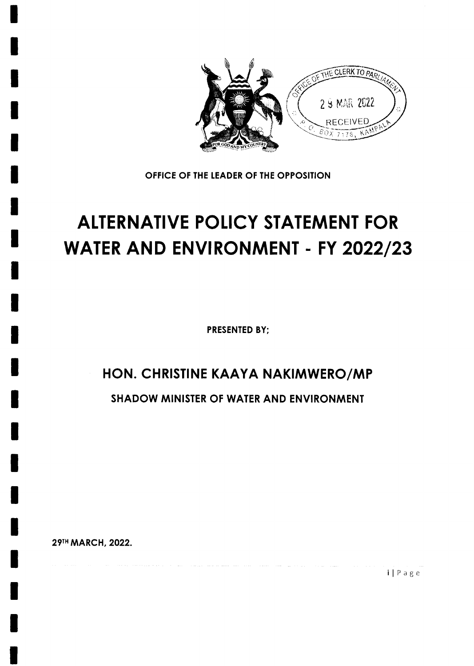

OFFICE OF THE LEADER OF THE OPPOSITION

# **ALTERNATIVE POLICY STATEMENT FOR WATER AND ENVIRONMENT - FY 2022/23**

**PRESENTED BY:** 

## HON. CHRISTINE KAAYA NAKIMWERO/MP

**SHADOW MINISTER OF WATER AND ENVIRONMENT** 

29TH MARCH, 2022.

 $i | P a g e$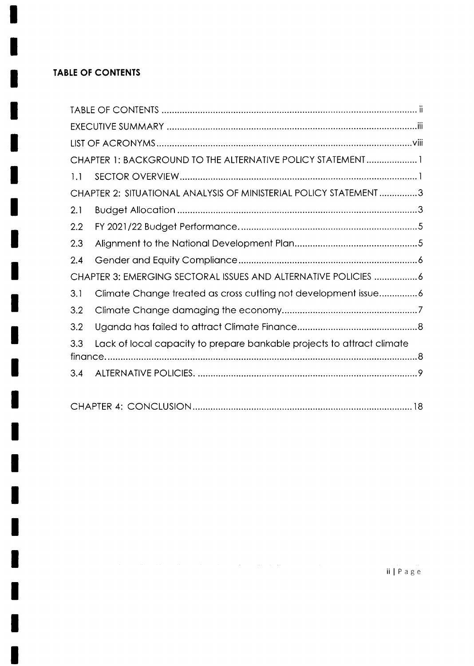### **TABLE OF CONTENTS**

| CHAPTER 1: BACKGROUND TO THE ALTERNATIVE POLICY STATEMENT1                    |  |  |  |  |  |
|-------------------------------------------------------------------------------|--|--|--|--|--|
| 1.1                                                                           |  |  |  |  |  |
| CHAPTER 2: SITUATIONAL ANALYSIS OF MINISTERIAL POLICY STATEMENT 3             |  |  |  |  |  |
| 2.1                                                                           |  |  |  |  |  |
| 2.2                                                                           |  |  |  |  |  |
| 2.3                                                                           |  |  |  |  |  |
| 2.4                                                                           |  |  |  |  |  |
| CHAPTER 3: EMERGING SECTORAL ISSUES AND ALTERNATIVE POLICIES 6                |  |  |  |  |  |
| Climate Change treated as cross cutting not development issue6<br>3.1         |  |  |  |  |  |
| 3.2                                                                           |  |  |  |  |  |
| 3.2                                                                           |  |  |  |  |  |
| Lack of local capacity to prepare bankable projects to attract climate<br>3.3 |  |  |  |  |  |
|                                                                               |  |  |  |  |  |
| 3.4                                                                           |  |  |  |  |  |
|                                                                               |  |  |  |  |  |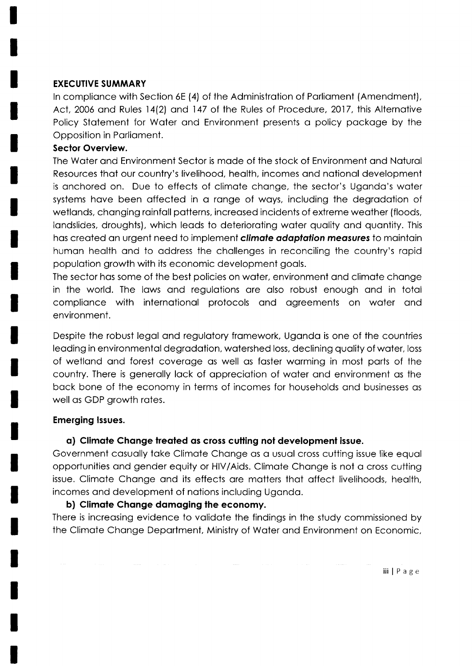#### EXECUTIVE SUMMARY

In compliance with Section 6E (4) of the Administration of Parliament (Amendment), Act, 2006 and Rules 14(2) and 147 of the Rules of Procedure, 2017, this Alternative Policy Stotement for Woter ond Environment presents o policy pockoge by the Opposition in Porlioment.

#### Sector Overview.

The Woter ond Environmeni Sector is mode of the stock of Environment ond Nqturol Resources thot our country's livelihood, heolth, incomes ond notionol development is onchored on. Due to effects of climote chonge, the sector's Ugondo's woter systems have been affected in a range of ways, including the degradation of wetlands, changing rainfall patterns, increased incidents of extreme weather (floods, landslides, droughts), which leads to deteriorating water quality and quantity. This has created an urgent need to implement **climate adaptation measures** to maintain human health and to address the challenges in reconciling the country's rapid populotion growth with its economic development gools.

The sector has some of the best policies on water, environment and climate change in the world. The lows ond regulotions ore olso robust enough ond in totol complionce with internotionol protocols ond ogreements on woter ond environment.

Despite the robust legal and regulatory framework, Uganda is one of the countries leoding in environmentol degrodotion, wotershed loss, declining quolity of woter, loss of wetlond ond forest coveroge os well os foster worming in most ports of the country. There is generally lack of appreciation of water and environment as the bock bone of the economy in terms of incomes for households qnd businesses os well os GDP growth rotes.

#### Emerging lssues.

#### a) Climate Change treated as cross cutting not development issue.

Government cosuolly toke Climote Chonge os o usuol cross cutting issue like equol opportunities ond gender equity or HIV/Aids. Climote Chonge is not o cross cutting issue. Climote Chonge ond its effects ore motters thot offect livelihoods, heolth, incomes ond development of notions including Ugondo.

#### b) Climate Change damaging the economy.

There is increasing evidence to validate the findings in the study commissioned by the Climote Chonge Deportment, Ministry of Woter ond Environment on Economic,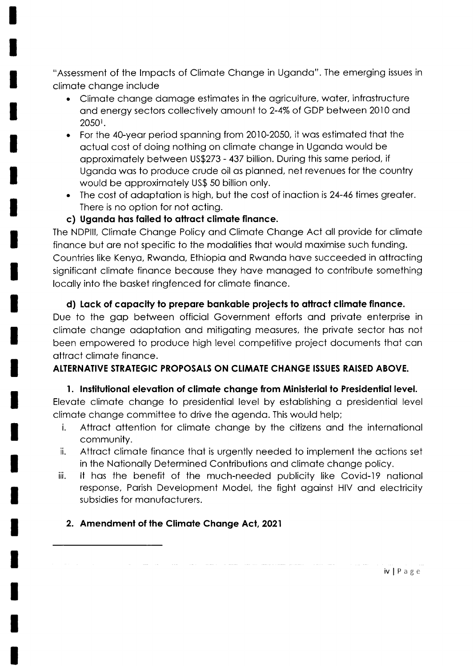"Assessment of the Impacts of Climate Change in Uganda". The emerging issues in climate change include

- Climate change damage estimates in the agriculture, water, infrastructure and energy sectors collectively amount to 2-4% of GDP between 2010 and 20501.
- For the 40-year period spanning from 2010-2050, it was estimated that the actual cost of doing nothing on climate change in Uganda would be approximately between US\$273 - 437 billion. During this same period, if Uganda was to produce crude oil as planned, net revenues for the country would be approximately US\$ 50 billion only.
- The cost of adaptation is high, but the cost of inaction is 24-46 times greater. There is no option for not acting.
- c) Uganda has failed to attract climate finance.

The NDPIII, Climate Change Policy and Climate Change Act all provide for climate finance but are not specific to the modalities that would maximise such funding. Countries like Kenya, Rwanda, Ethiopia and Rwanda have succeeded in attracting significant climate finance because they have managed to contribute something locally into the basket ringfenced for climate finance.

#### d) Lack of capacity to prepare bankable projects to attract climate finance.

Due to the gap between official Government efforts and private enterprise in climate change adaptation and mitigating measures, the private sector has not been empowered to produce high level competitive project documents that can attract climate finance.

#### ALTERNATIVE STRATEGIC PROPOSALS ON CLIMATE CHANGE ISSUES RAISED ABOVE.

#### 1. Institutional elevation of climate change from Ministerial to Presidential level.

Elevate climate change to presidential level by establishing a presidential level climate change committee to drive the agenda. This would help;

- Attract attention for climate change by the citizens and the international j. community.
- Attract climate finance that is urgently needed to implement the actions set ii. in the Nationally Determined Contributions and climate change policy.
- It has the benefit of the much-needed publicity like Covid-19 national iii. response, Parish Development Model, the fight against HIV and electricity subsidies for manufacturers.

### 2. Amendment of the Climate Change Act, 2021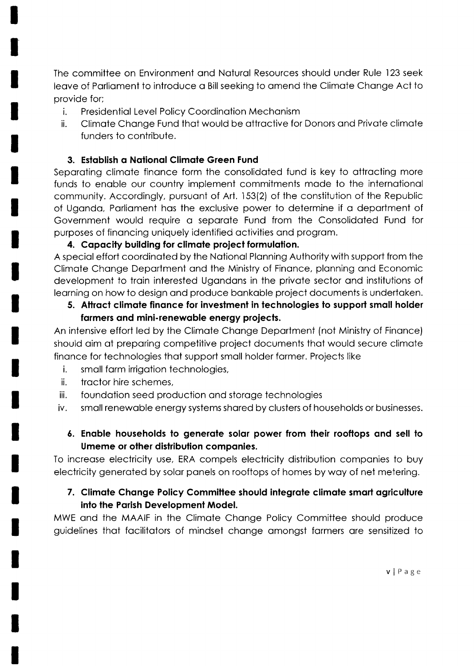The committee on Environment and Natural Resources should under Rule 123 seek leave of Parliament to introduce a Bill seeking to amend the Climate Change Act to provide for;

- i. Presidential Level Policy Coordination Mechanism
- ii. Climote Chonge Fund thot would be ottroctive for Donors ond Privote climote funders to contribute.

#### 3. Establish a National Climate Green Fund

Separating climate finance form the consolidated fund is key to attracting more funds to enable our country implement commitments made to the international community. Accordingly, pursuant of Art. 153(2) of the constitution of the Republic of Ugondo, Porlioment hos the exclusive power to determine if o deportment of Government would require a separate Fund from the Consolidated Fund for purposes of finoncing uniquely identified qctivities ond progrom.

#### 4. Capacity building for climate project formulation.

A speciol effort coordinoted by the Notionol Plonning Authority with support from the Climote Chonge Deportment ond the Ministry of Finonce, plonning ond Economic development to troin interested Ugondons in the privote sector ond institutions of leorning on how to design ond produce bonkoble project documents is undertoken.

#### 5. Attract climate finance for investment in technologies to support small holder farmers and mini-renewable energy projects.

An intensive effort led by the Climote Chonge Deportment (not Ministry of Finonce) should oim of preporing competitive project documents thot would secure climote finonce for technologies thot support smoll holder former. Projects like

- i. smoll form irrigotion technologies,
- ii. troctor hire schemes,
- iii. foundotion seed production ond storoge technologies
- iv. smoll renewoble energy systems shored by clusters of households or businesses.

### 6. Enable households to generate solar power from their rooftops and sell to Umeme or olher distribution componies.

Io increose electricity use, ERA compels electricity distribution componies to buy electricity generoted by solor ponels on rooftops of homes by woy of net metering.

#### 7. Climate Change Policy Committee should integrate climate smart agriculture into the Porish Development Model.

MWE ond the MAAIF in the Climote Chonge Policy Committee should produce guidelines thot focilitotors of mindset chonge omongst formers ore sensitized to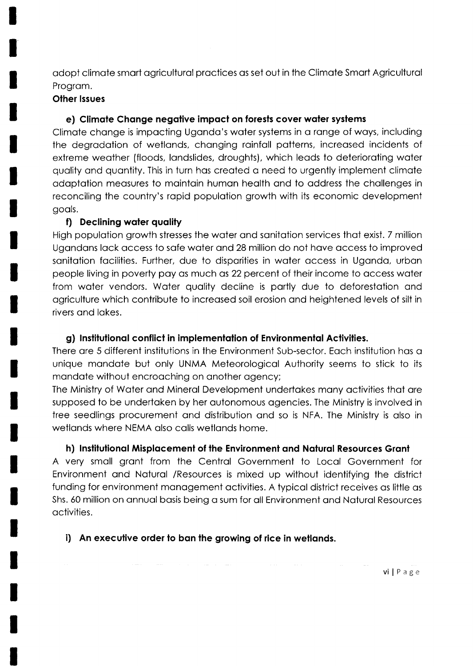adopt climate smart agricultural practices as set out in the Climate Smart Agricultural Program.

#### **Other Issues**

#### e) Climate Change negative impact on forests cover water systems

Climate change is impacting Uganda's water systems in a range of ways, including the degradation of wetlands, changing rainfall patterns, increased incidents of extreme weather (floods, landslides, droughts), which leads to deteriorating water quality and quantity. This in turn has created a need to urgently implement climate adaptation measures to maintain human health and to address the challenges in reconciling the country's rapid population growth with its economic development goals.

#### f) Declining water quality

High population growth stresses the water and sanitation services that exist. 7 million Ugandans lack access to safe water and 28 million do not have access to improved sanitation facilities. Further, due to disparities in water access in Uganda, urban people living in poverty pay as much as 22 percent of their income to access water from water vendors. Water quality decline is partly due to deforestation and agriculture which contribute to increased soil erosion and heightened levels of silt in rivers and lakes.

#### g) Institutional conflict in implementation of Environmental Activities.

There are 5 different institutions in the Environment Sub-sector. Each institution has a unique mandate but only UNMA Meteorological Authority seems to stick to its mandate without encroaching on another agency;

The Ministry of Water and Mineral Development undertakes many activities that are supposed to be undertaken by her autonomous agencies. The Ministry is involved in tree seedlings procurement and distribution and so is NFA. The Ministry is also in wetlands where NEMA also calls wetlands home.

#### h) Institutional Misplacement of the Environment and Natural Resources Grant

A very small grant from the Central Government to Local Government for Environment and Natural / Resources is mixed up without identifying the district funding for environment management activities. A typical district receives as little as Shs. 60 million on annual basis being a sum for all Environment and Natural Resources activities.

### i) An executive order to ban the growing of rice in wetlands.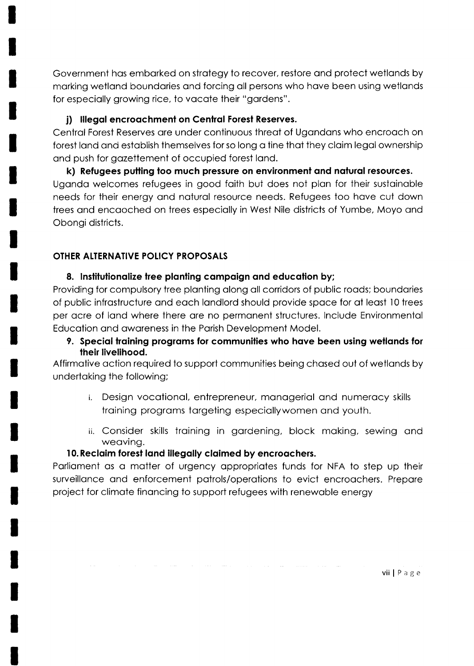Government has embarked on strategy to recover, restore and protect wetlands by morking wetlond boundories ond forcing oll persons who hove been using wetlonds for especially growing rice, to vacate their "gardens".

#### i) Illegal encroachment on Central Forest Reserves.

Centrol Forest Reserves ore under continuous threot of Ugondons who encrooch on forest land and establish themselves for so long a tine that they claim legal ownership ond push for gozettement of occupied forest lond.

k) Refugees putting too much pressure on environment and natural resources. Uganda welcomes refugees in good faith but does not plan for their sustainable needs for their energy ond noturol resource needs. Refugees too hove cut down trees ond encooched on trees especiolly in West Nile districts of Yumbe, Moyo ond Obongi districts.

#### OTHER ALTERNATIVE POLICY PROPOSALS

#### 8. Institutionalize tree planting campaign and education by;

Providing for compulsory tree planting along all corridors of public roads; boundaries of public infrastructure and each landlord should provide space for at least 10 trees per ocre of lond where there ore no permonent structures. lnclude Environmentol Educotion ond owqreness in the Porish Development Model.

9. Special training programs for communities who have been using wetlands for their livelihood.

Affirmotive oction required to support communities being chosed out of wetlonds by undertoking the following;

- i. Design vocotionol, entrepreneur, monogeriol ond numerocy skills troining progroms torgeting especiollywomen ond youth.
- ii. Consider skills troining in gordening, block moking, sewing ond weoving.

### 10. Reclaim forest land illegally claimed by encroachers.

Parliament as a matter of urgency appropriates funds for NFA to step up their surveillance and enforcement patrols/operations to evict encroachers. Prepare project for climote finoncing to support refugees with renewoble energy

vii  $\mid$  P a g e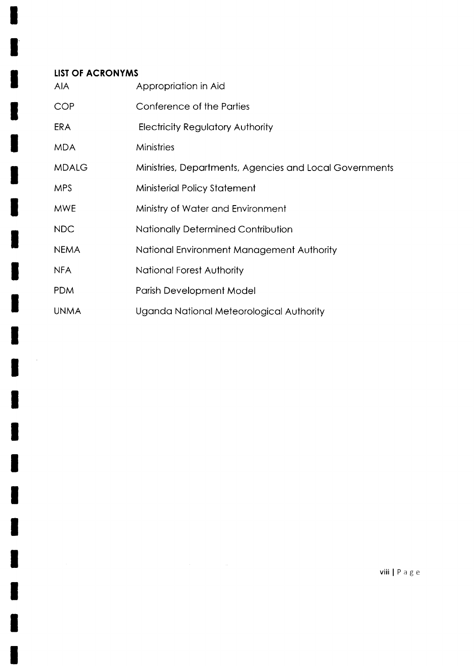#### **LIST OF ACRONYMS AIA** Appropriation in Aid **COP** Conference of the Parties **ERA Electricity Regulatory Authority MDA** Ministries **MDALG** Ministries, Departments, Agencies and Local Governments **MPS** Ministerial Policy Statement **MWE** Ministry of Water and Environment **NDC** Nationally Determined Contribution **NEMA** National Environment Management Authority National Forest Authority **NFA PDM** Parish Development Model **UNMA** Uganda National Meteorological Authority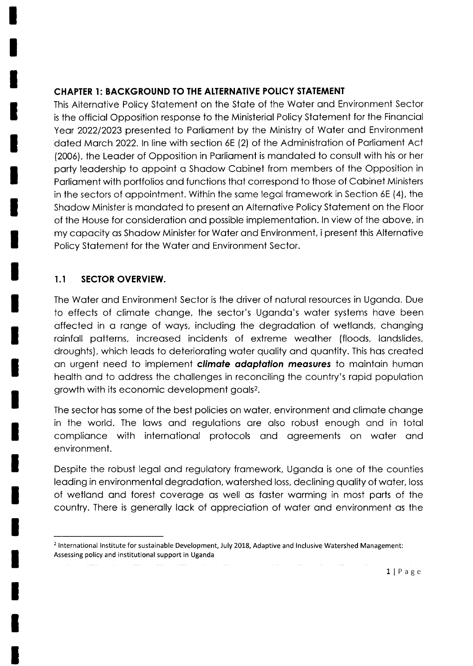#### CHAPTER 1: BACKGROUND TO THE ATTERNATIVE POIICY STATEMENT

This Alternotive Policy Stotement on the Stote of the Woter ond Environment Sector is the officiol Opposition response to the Ministeriol Policy Stotement for the Finonciql Year 2022/2023 presented to Parliament by the Ministry of Water and Environment dated March 2022. In line with section 6E (2) of the Administration of Parliament Act (2006), the Leoder of Opposition in Porlioment is mondoted to consult with his or her party leadership to appoint a Shadow Cabinet from members of the Opposition in Porlioment with portfolios ond functions thot correspond to those of Cobinet Ministers in the sectors of appointment. Within the same legal framework in Section 6E (4), the Shadow Minister is mandated to present an Alternative Policy Statement on the Floor of the House for considerotion ond possible implementotion. ln view of the obove, in my copocity os Shodow Minister for Woter ond Environment, ipresent this Alternotive Policy Stotement for the Woter ond Environment Sector.

#### 1.I SECTOR OVERVIEW.

The Water and Environment Sector is the driver of natural resources in Uganda. Due to effects of climote chonge, the sector's Ugondo's woter systems hove been offected in o ronge of woys, including the degrodotion of wetlonds, chonging rainfall patterns, increased incidents of extreme weather (floods, landslides, droughts), which leods to deterioroting woter quolity ond quontity. This hos creoted an urgent need to implement climate adaptation measures to maintain human heolth ond to oddress the chollenges in reconciling the country's ropid populotion growth with its economic development goals<sup>2</sup>.

The sector hos some of the best policies on woter, environment ond climote chonge in the world. The lows ond regulotions ore olso robust enough ond in totol compliance with international protocols and agreements on water and environment.

Despite the robust legal and regulatory framework, Uganda is one of the counties leading in environmental degradation, watershed loss, declining quality of water, loss of wetlond ond forest coveroge os well os foster worming in most ports of the country. There is generally lack of appreciation of water and environment as the

<sup>&</sup>lt;sup>2</sup> International Institute for sustainable Development, July 2018, Adaptive and Inclusive Watershed Management: Assessing policy and institutional support in Uganda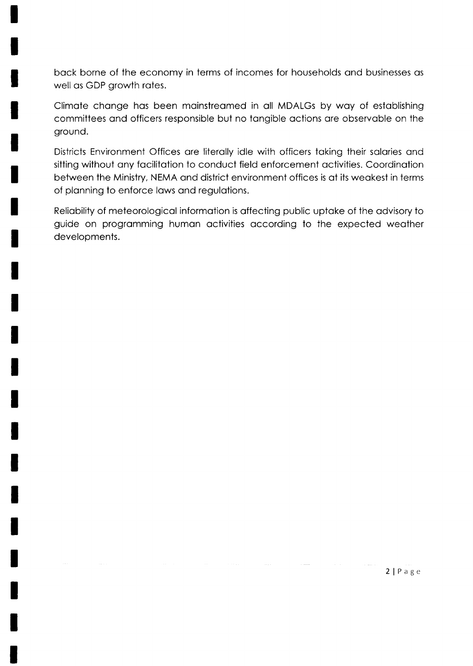back borne of the economy in terms of incomes for households and businesses as well as GDP growth rates.

Climate change has been mainstreamed in all MDALGs by way of establishing committees ond officers responsible but no tongible octions ore observoble on the ground.

Districts Environment Offices ore literolly idle with officers toking their solories ond sitting without any facilitation to conduct field enforcement activities. Coordination between the Ministry, NEMA ond district environment offices is of its weokest in terms of planning to enforce laws and regulations.

Reliobility of meteorologicol informotion is offecting public uptoke of the odvisory to guide on progromming humon octivities occording to the expected weother developments.

2 | Page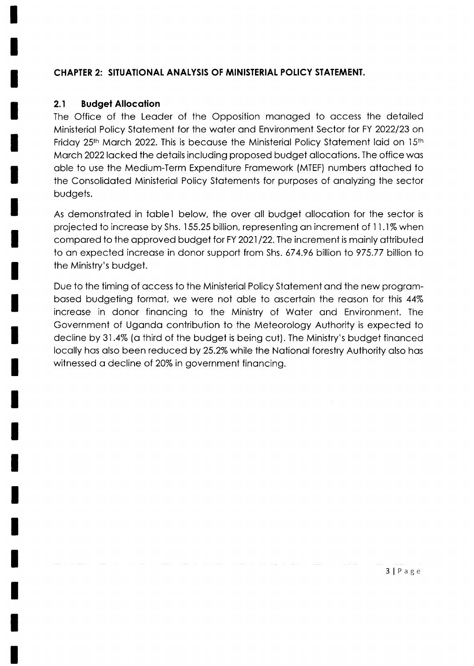#### CHAPTER 2: SITUATIONAt ANALYSIS OF MINISTERIAI POIICY STATEMENT.

#### 2.1 Budget Allocation

The Office of the Leoder of the Opposition monoged to occess the detoiled Ministeriol Policy Stotement for the woter ond Environment Sector for FY 2022123 on Friday 25th March 2022. This is because the Ministerial Policy Statement laid on  $15$ th March 2022 lacked the details including proposed budget allocations. The office was oble to use the Medium-Term Expenditure Fromework (MTEF) numbers ottoched to the Consolidoted Ministeriol Policy Stotements for purposes of onolyzing the sector budgets.

As demonstroted in toblel below, the over oll budget ollocotion for the sector is projected to increase by Shs. 155.25 billion, representing an increment of 11.1% when compared to the approved budget for FY 2021/22. The increment is mainly attributed to an expected increase in donor support from Shs. 674.96 billion to 975.77 billion to the Ministry's budget.

Due to the timing of qccess to the Ministeriol Policy Stotement ond the new progrombosed budgeting formot, we were not oble to oscertoin the reoson for lhis 44% increose in donor finoncing to the Ministry of Woter ond Environment. The Government of Ugondo contribution to the Meteorology Authority is expected to decline by 31.4% (a third of the budget is being cut). The Ministry's budget financed locally has also been reduced by 25.2% while the National forestry Authority also has witnessed a decline of 20% in government financing.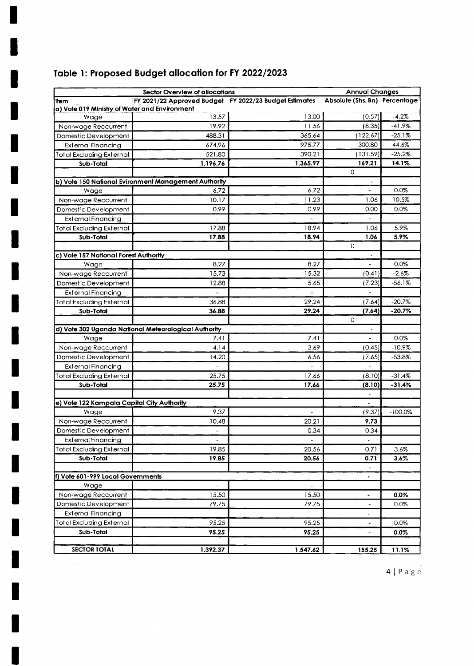### Table 1: Proposed Budget allocation for FY 2022/2023

|                                                              | Sector Overview of allocations                         |                                   | <b>Annual Changes</b>           |           |
|--------------------------------------------------------------|--------------------------------------------------------|-----------------------------------|---------------------------------|-----------|
| ltem                                                         | FY 2021/22 Approved Budget FY 2022/23 Budget Estimates |                                   | Absolute (Shs. Bn) Percentage   |           |
| a) Vote 019 Ministry of Water and Environment                |                                                        |                                   |                                 |           |
| Wage                                                         | 13.57                                                  | 13.00                             | (0.57)                          | $-4.2%$   |
| Non-wage Reccurrent                                          | 19.92                                                  | 11.56                             | (8.35)                          | $-41.9%$  |
| Domestic Development                                         | 488.31                                                 | 365.64                            | (122.67)                        | $-25.1%$  |
| <b>External Financing</b>                                    | 674.96                                                 | 975.77                            | 300.80                          | 44.6%     |
| Total Excluding External                                     | 521.80                                                 | 390.21                            | (131.59)                        | $-25.2%$  |
| Sub-Total                                                    | 1,196.76                                               | 1,365.97                          | 169.21                          | 14.1%     |
|                                                              |                                                        |                                   | $\mathbf 0$                     |           |
|                                                              | b) Vote 150 National Evironment Management Authority   |                                   |                                 |           |
| Wage                                                         | 6.72                                                   | 6.72                              |                                 | 0.0%      |
| Non-wage Reccurrent                                          | 10.17                                                  | 11.23                             | 1.06                            | 10.5%     |
| Domestic Development                                         | 0.99                                                   | 0.99                              | 0.00                            | 0.0%      |
| External Financing                                           |                                                        |                                   |                                 |           |
| Total Excluding External                                     | 17.88                                                  | 18.94                             | 1.06                            | 5.9%      |
| Sub-Total                                                    | 17.88                                                  | 18.94                             | 1.06                            | 5.9%      |
|                                                              |                                                        |                                   | 0                               |           |
| c) Vote 157 National Forest Authority                        |                                                        |                                   | $\overline{\phantom{a}}$        |           |
| Wage                                                         | 8.27                                                   | 8.27                              | $\tilde{\phantom{a}}$           | 0.0%      |
| Non-wage Reccurrent                                          | 15.73                                                  | 15.32                             | (0.41)                          | $-2.6\%$  |
| Domestic Development                                         | 12.88                                                  | 5.65                              | (7.23)                          | -56.1%    |
| <b>External Financing</b>                                    | $\qquad \qquad \blacksquare$                           | $\overline{\phantom{a}}$          |                                 |           |
| Total Excluding External                                     | 36.88                                                  | 29.24                             | (7.64)                          | $-20.7%$  |
| Sub-Total                                                    | 36.88                                                  | 29.24                             | (7.64)                          | $-20.7%$  |
|                                                              |                                                        |                                   | 0                               |           |
|                                                              | d) Vote 302 Uganda National Meteorological Authority   |                                   |                                 |           |
| Wage                                                         | 7.41                                                   | 7.41                              |                                 | 0.0%      |
| Non-wage Reccurrent                                          | 4.14                                                   | 3.69                              | (0.45)                          | $-10.9%$  |
| Domestic Development                                         | 14.20                                                  | 6.56                              | (7.65                           | $-53.8%$  |
| <b>External Financing</b>                                    |                                                        |                                   |                                 |           |
| <b>Total Excluding External</b>                              | 25.75                                                  | 17.66                             | (8.10)                          | $-31.4%$  |
| Sub-Total                                                    | 25.75                                                  | 17.66                             | (8.10)<br>$\tilde{\phantom{a}}$ | $-31.4%$  |
| e) Vote 122 Kampala Capital City Authority                   |                                                        |                                   | $\blacksquare$                  |           |
| Wage                                                         | 9.37                                                   | $\overline{\phantom{a}}$          | (9.37)                          | $-100.0%$ |
| Non-wage Reccurrent                                          | 10.48                                                  | 20.21                             | 9.73                            |           |
| Domestic Development                                         | $\overline{\phantom{a}}$                               | 0.34                              | 0.34                            |           |
|                                                              |                                                        |                                   |                                 |           |
| <b>External Financing</b><br><b>Total Excluding External</b> | $\overline{\phantom{a}}$<br>19.85                      | $\overline{\phantom{a}}$<br>20.56 | $\blacksquare$<br>0.71          | 3.6%      |
| Sub-Total                                                    | 19.85                                                  | 20.56                             | 0.71                            |           |
|                                                              |                                                        |                                   | $\overline{\phantom{a}}$        | 3.6%      |
| f) Vote 601-999 Local Governments                            |                                                        |                                   | $\blacksquare$                  |           |
| Wage                                                         |                                                        |                                   | $\overline{a}$                  |           |
| Non-wage Reccurrent                                          | 15.50                                                  | 15.50                             | $\bullet$                       | 0.0%      |
| Domestic Development                                         | 79.75                                                  | 79.75                             | $\frac{1}{2}$                   | 0.0%      |
| <b>External Financing</b>                                    |                                                        |                                   | $\blacksquare$                  |           |
| <b>Total Excluding External</b>                              | 95.25                                                  | 95.25                             |                                 | 0.0%      |
| Sub-Total                                                    | 95.25                                                  | 95.25                             |                                 | 0.0%      |
|                                                              |                                                        |                                   |                                 |           |
| <b>SECTOR TOTAL</b>                                          | 1,392.37                                               | 1,547.62                          | 155.25                          | 11.1%     |
|                                                              |                                                        |                                   |                                 |           |

 $4 | P a g e$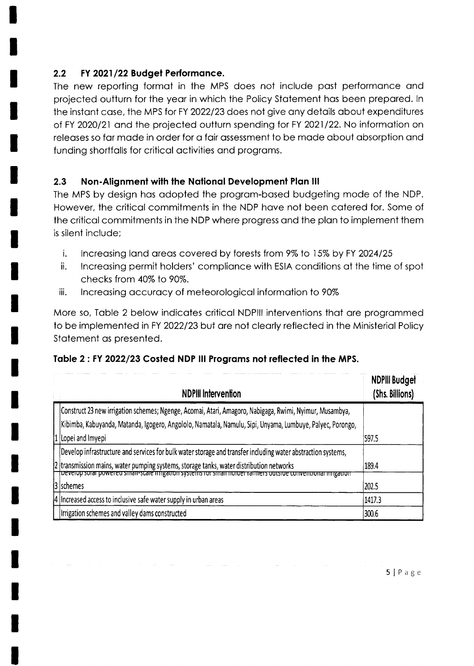#### $2.2$ FY 2021/22 Budget Performance.

The new reporting format in the MPS does not include past performance and projected outturn for the year in which the Policy Statement has been prepared. In the instant case, the MPS for FY 2022/23 does not give any details about expenditures of FY 2020/21 and the projected outturn spending for FY 2021/22. No information on releases so far made in order for a fair assessment to be made about absorption and funding shortfalls for critical activities and programs.

#### $2.3$ Non-Alignment with the National Development Plan III

The MPS by design has adopted the program-based budgeting mode of the NDP. However, the critical commitments in the NDP have not been catered for. Some of the critical commitments in the NDP where progress and the plan to implement them is silent include:

- i. Increasing land areas covered by forests from 9% to 15% by FY 2024/25
- ii. Increasing permit holders' compliance with ESIA conditions at the time of spot checks from 40% to 90%.
- iii. Increasing accuracy of meteorological information to 90%

More so, Table 2 below indicates critical NDPIII interventions that are programmed to be implemented in FY 2022/23 but are not clearly reflected in the Ministerial Policy Statement as presented.

| <b>NDPIII Intervention</b>                                                                                                                                                                               | <b>NDPIII Budget</b><br>(Shs. Billions) |
|----------------------------------------------------------------------------------------------------------------------------------------------------------------------------------------------------------|-----------------------------------------|
| Construct 23 new irrigation schemes; Ngenge, Acomai, Atari, Amagoro, Nabigaga, Rwimi, Nyimur, Musambya,                                                                                                  |                                         |
| Kibimba, Kabuyanda, Matanda, Igogero, Angololo, Namatala, Namulu, Sipi, Unyama, Lumbuye, Palyec, Porongo,                                                                                                |                                         |
| Lopei and Imyepi                                                                                                                                                                                         | 597.5                                   |
| Develop infrastructure and services for bulk water storage and transfer including water abstraction systems,                                                                                             |                                         |
| 2 transmission mains, water pumping systems, storage tanks, water distribution networks<br>i beverop solar powered small-scale imgation systems for small holder familiers outside conventional imgation | 189.4                                   |
| 13 Ischemes                                                                                                                                                                                              | 202.5                                   |
| 4 Increased access to inclusive safe water supply in urban areas                                                                                                                                         | 1417.3                                  |
| Irrigation schemes and valley dams constructed                                                                                                                                                           | 300.6                                   |

#### Table 2: FY 2022/23 Costed NDP III Programs not reflected in the MPS.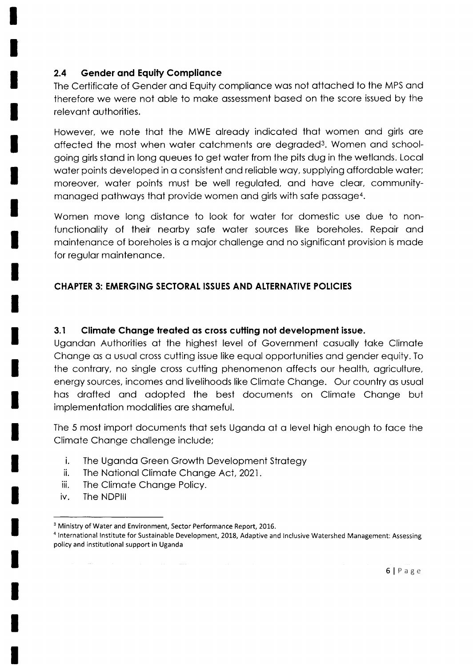#### 2.4 Gender and Equity Compliance

The Certificote of Gender ond Equity complionce wos not ottoched to the MPS ond therefore we were not oble to moke ossessment bqsed on the score issued by the relevont outhorities.

However, we note that the MWE already indicated that women and girls are offected the most when woter cotchments ore degroded3. Women ond schoolgoing girls stond in long queues to get woter from the pits dug in the wetlonds. Locol water points developed in a consistent and reliable way, supplying affordable water; moreover, water points must be well regulated, and have clear, communitymanaged pathways that provide women and girls with safe passage<sup>4</sup>.

Women move long distance to look for water for domestic use due to nonfunctionality of their nearby safe water sources like boreholes. Repair and mointenonce of boreholes is o mojor chollenge ond no significont provision is mode for regular maintenance.

#### CHAPTER 3: EMERGING SECTORAL ISSUES AND ALTERNATIVE POLICIES

#### 3.1 Climate Change treated as cross cutting not development issue.

Ugondon Authorities of the highest level of Government cosuolly toke Climote Change as a usual cross cutting issue like equal opportunities and gender equity. To the contrary, no single cross cutting phenomenon affects our health, agriculture, energy sources, incomes ond livelihoods like Climote Chonge. Our country os usuol has drafted and adopted the best documents on Climate Change but implementotion modolities ore shomeful.

The 5 most import documents that sets Uganda at a level high enough to face the Climote Chonge chollenge include;

- i. The Ugondo Green Growth Development Strotegy
- ii. The Notionol Climote Chonge Act, 2021.
- iii. The Climate Change Policy.
- iv. The NDPlll

<sup>&</sup>lt;sup>3</sup> Ministry of Water and Environment, Sector Performance Report, 2016.

<sup>4</sup>lnternational lnstitute for Sustainable Development, 2018, Adaptive and lnclusive Watershed Management: Assessing policy and institutional support in Uganda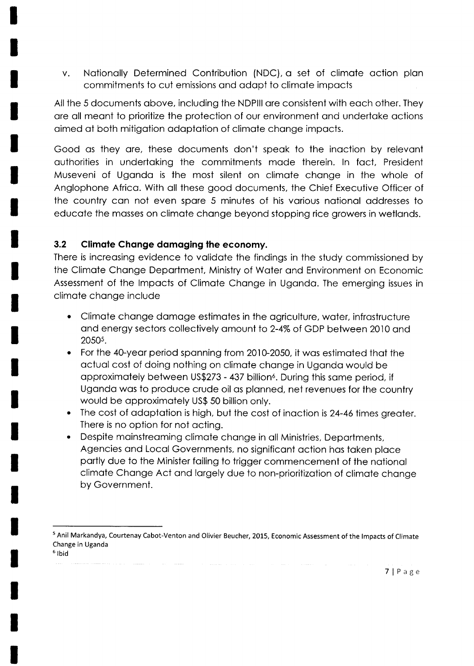v. Notionolly Determined Contribution (NDC), o set of climqte oction plon commitments to cut emissions ond odopt to climote impocts

All the 5 documents obove, including the NDPlll ore consistent with eoch other. They ore oll meont to prioritize the protection of our environment ond undertoke qctions oimed of both mitigotion odoptotion of climote chonge impocts.

Good as they are, these documents don't speak to the inaction by relevant outhorities in undertoking the commitments mode therein. ln foct, President Museveni of Ugondo is the most silent on climote chonge in the whole of Anglophone Africo. With oll these good documents, the Chief Executive Officer of the country con not even spore 5 minutes of his vorious notionol oddresses to educote the mosses on climote chonge beyond stopping rice growers in wetlonds.

#### 3.2 Climate Change damaging the economy.

There is increosing evidence to volidqte the findings in the study commissioned by the Climote Chonge Deportment, Ministry of Wqter ond Environment on Economic Assessment of the lmpocts of Climote Chonge in Ugondo. The emerging issues in climqte chonge include

- Climate change damage estimates in the agriculture, water, infrastructure and energy sectors collectively amount to 2-4% of GDP between 2010 and 2050s.  $\bullet$
- For the 4O-yeor period sponning from 2010-2050, it wos estimoted thot the octuol cost of doing nothing on climote chonge in Ugondo would be approximately between US\$273 - 437 billion<sup>6</sup>. During this same period, if Ugondo wos to produce crude oil os plonned, net revenues for the country would be opproximotely US\$ 50 billion only. a
- The cost of adaptation is high, but the cost of inaction is 24-46 times greater. There is no option for not octing. a
- Despite moinstreoming climote chonge in oll Ministries, Deportments, Agencies ond Locol Governments, no significont oction hos token ploce portly due to the Minister foiling to trigger commencement of the notionol climate Change Act and largely due to non-prioritization of climate change by Government. a

<sup>&</sup>lt;sup>5</sup> Anil Markandya, Courtenay Cabot-Venton and Olivier Beucher, 2015, Economic Assessment of the Impacts of Climate Change in Uganda <sup>6</sup> Ibid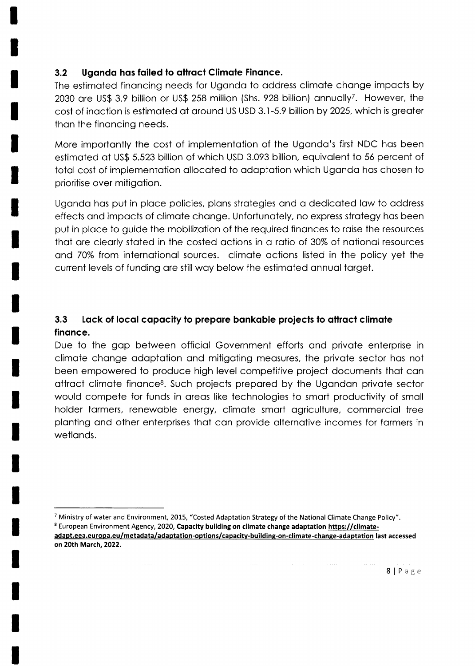#### 3.2 Uganda has failed to attract Climate Finance.

The estimoted finoncing needs for Ugondo to oddress climote chonge impocts by 2030 are US\$ 3.9 billion or US\$ 258 million (Shs. 928 billion) annually<sup>7</sup>. However, the cost of inqction is estimoted of oround US USD 3.1-5.9 billion by 2025, which is greoter thon the finoncing needs.

More importontly the cost of implementotion of the Ugondo's first NDC hos been estimoted ot US\$ 5.523 billion of which USD 3.093 billion, equivolent to 55 percent of total cost of implementation allocated to adaptation which Uganda has chosen to prioritise over mitigotion.

Ugondo hos put in ploce policies, plons strotegies ond o dedicoted low to oddress effects ond impocts of climote chonge. Unfortunotely, no express strotegy hos been put in place to guide the mobilization of the required finances to raise the resources that are clearly stated in the costed actions in a ratio of 30% of national resources and 70% from internotionol sources. climote octions listed in the policy yet the current levels of funding are still way below the estimated annual target.

### 3.3 Lack of local capacity to prepare bankable projects to attract climate finonce.

Due to the gap between official Government efforts and private enterprise in climote chonge odoptotion ond mitigoting meosures, the privote sector hos not been empowered to produce high level competitive project documents thot cqn attract climate finance<sup>8</sup>. Such projects prepared by the Ugandan private sector would compete for funds in areas like technologies to smart productivity of small holder farmers, renewable energy, climate smart agriculture, commercial tree plonting ond other enterprises thot con provide olternotive incomes for formers in wetlands.

<sup>&</sup>lt;sup>7</sup> Ministry of water and Environment, 2015, "Costed Adaptation Strategy of the National Climate Change Policy". <sup>8</sup> European Environment Agency, 2020, Capacity building on climate change adaptation https://climateadapt.eea.europa.eu/metadata/adaptation-options/capacitv-building-on-climate-chanse-adaptation last accessed on 20th March,2O22.